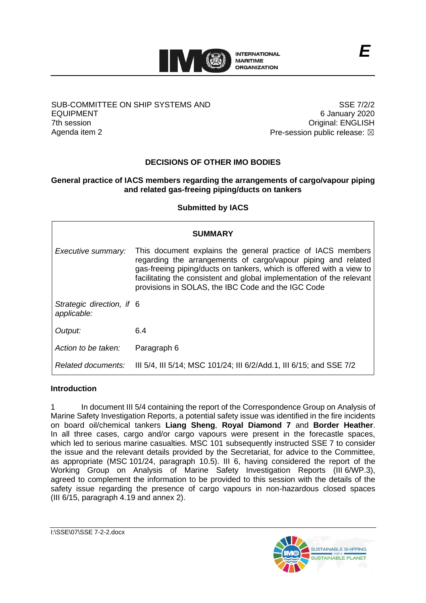

## SUB-COMMITTEE ON SHIP SYSTEMS AND EQUIPMENT 7th session Agenda item 2

SSE 7/2/2 6 January 2020 Original: ENGLISH Pre-session public release:  $\boxtimes$ 

# **DECISIONS OF OTHER IMO BODIES**

# **General practice of IACS members regarding the arrangements of cargo/vapour piping and related gas-freeing piping/ducts on tankers**

## **Submitted by IACS**

| <b>SUMMARY</b>                           |                                                                                                                                                                                                                                                                                                                                     |
|------------------------------------------|-------------------------------------------------------------------------------------------------------------------------------------------------------------------------------------------------------------------------------------------------------------------------------------------------------------------------------------|
| Executive summary:                       | This document explains the general practice of IACS members<br>regarding the arrangements of cargo/vapour piping and related<br>gas-freeing piping/ducts on tankers, which is offered with a view to<br>facilitating the consistent and global implementation of the relevant<br>provisions in SOLAS, the IBC Code and the IGC Code |
| Strategic direction, if 6<br>applicable: |                                                                                                                                                                                                                                                                                                                                     |
| Output:                                  | 6.4                                                                                                                                                                                                                                                                                                                                 |
| Action to be taken:                      | Paragraph 6                                                                                                                                                                                                                                                                                                                         |
| Related documents:                       | III 5/4, III 5/14; MSC 101/24; III 6/2/Add.1, III 6/15; and SSE 7/2                                                                                                                                                                                                                                                                 |

#### **Introduction**

1 In document III 5/4 containing the report of the Correspondence Group on Analysis of Marine Safety Investigation Reports, a potential safety issue was identified in the fire incidents on board oil/chemical tankers **Liang Sheng**, **Royal Diamond 7** and **Border Heather**. In all three cases, cargo and/or cargo vapours were present in the forecastle spaces, which led to serious marine casualties. MSC 101 subsequently instructed SSE 7 to consider the issue and the relevant details provided by the Secretariat, for advice to the Committee, as appropriate (MSC 101/24, paragraph 10.5). III 6, having considered the report of the Working Group on Analysis of Marine Safety Investigation Reports (III 6/WP.3), agreed to complement the information to be provided to this session with the details of the safety issue regarding the presence of cargo vapours in non-hazardous closed spaces (III 6/15, paragraph 4.19 and annex 2).

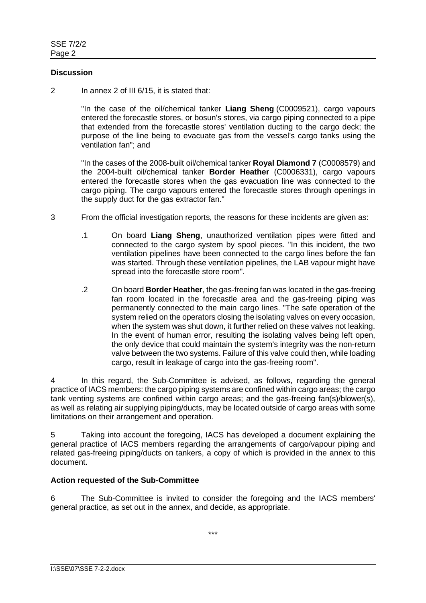## **Discussion**

2 In annex 2 of III 6/15, it is stated that:

"In the case of the oil/chemical tanker **Liang Sheng** (C0009521), cargo vapours entered the forecastle stores, or bosun's stores, via cargo piping connected to a pipe that extended from the forecastle stores' ventilation ducting to the cargo deck; the purpose of the line being to evacuate gas from the vessel's cargo tanks using the ventilation fan"; and

"In the cases of the 2008-built oil/chemical tanker **Royal Diamond 7** (C0008579) and the 2004-built oil/chemical tanker **Border Heather** (C0006331), cargo vapours entered the forecastle stores when the gas evacuation line was connected to the cargo piping. The cargo vapours entered the forecastle stores through openings in the supply duct for the gas extractor fan."

- 3 From the official investigation reports, the reasons for these incidents are given as:
	- .1 On board **Liang Sheng**, unauthorized ventilation pipes were fitted and connected to the cargo system by spool pieces. "In this incident, the two ventilation pipelines have been connected to the cargo lines before the fan was started. Through these ventilation pipelines, the LAB vapour might have spread into the forecastle store room".
	- .2 On board **Border Heather**, the gas-freeing fan was located in the gas-freeing fan room located in the forecastle area and the gas-freeing piping was permanently connected to the main cargo lines. "The safe operation of the system relied on the operators closing the isolating valves on every occasion, when the system was shut down, it further relied on these valves not leaking. In the event of human error, resulting the isolating valves being left open. the only device that could maintain the system's integrity was the non-return valve between the two systems. Failure of this valve could then, while loading cargo, result in leakage of cargo into the gas-freeing room".

4 In this regard, the Sub-Committee is advised, as follows, regarding the general practice of IACS members: the cargo piping systems are confined within cargo areas; the cargo tank venting systems are confined within cargo areas; and the gas-freeing fan(s)/blower(s), as well as relating air supplying piping/ducts, may be located outside of cargo areas with some limitations on their arrangement and operation.

5 Taking into account the foregoing, IACS has developed a document explaining the general practice of IACS members regarding the arrangements of cargo/vapour piping and related gas-freeing piping/ducts on tankers, a copy of which is provided in the annex to this document.

## **Action requested of the Sub-Committee**

6 The Sub-Committee is invited to consider the foregoing and the IACS members' general practice, as set out in the annex, and decide, as appropriate.

\*\*\*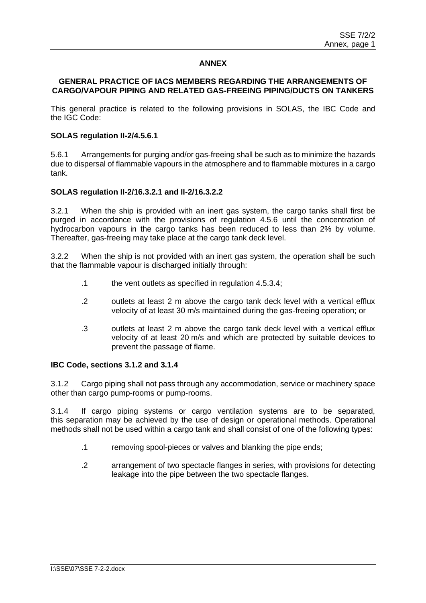## **ANNEX**

#### **GENERAL PRACTICE OF IACS MEMBERS REGARDING THE ARRANGEMENTS OF CARGO/VAPOUR PIPING AND RELATED GAS-FREEING PIPING/DUCTS ON TANKERS**

This general practice is related to the following provisions in SOLAS, the IBC Code and the IGC Code:

## **SOLAS regulation II-2/4.5.6.1**

5.6.1 Arrangements for purging and/or gas-freeing shall be such as to minimize the hazards due to dispersal of flammable vapours in the atmosphere and to flammable mixtures in a cargo tank.

#### **SOLAS regulation II-2/16.3.2.1 and II-2/16.3.2.2**

3.2.1 When the ship is provided with an inert gas system, the cargo tanks shall first be purged in accordance with the provisions of regulation 4.5.6 until the concentration of hydrocarbon vapours in the cargo tanks has been reduced to less than 2% by volume. Thereafter, gas-freeing may take place at the cargo tank deck level.

3.2.2 When the ship is not provided with an inert gas system, the operation shall be such that the flammable vapour is discharged initially through:

- .1 the vent outlets as specified in regulation 4.5.3.4;
- .2 outlets at least 2 m above the cargo tank deck level with a vertical efflux velocity of at least 30 m/s maintained during the gas-freeing operation; or
- .3 outlets at least 2 m above the cargo tank deck level with a vertical efflux velocity of at least 20 m/s and which are protected by suitable devices to prevent the passage of flame.

## **IBC Code, sections 3.1.2 and 3.1.4**

3.1.2 Cargo piping shall not pass through any accommodation, service or machinery space other than cargo pump-rooms or pump-rooms.

3.1.4 If cargo piping systems or cargo ventilation systems are to be separated, this separation may be achieved by the use of design or operational methods. Operational methods shall not be used within a cargo tank and shall consist of one of the following types:

- .1 removing spool-pieces or valves and blanking the pipe ends;
- .2 arrangement of two spectacle flanges in series, with provisions for detecting leakage into the pipe between the two spectacle flanges.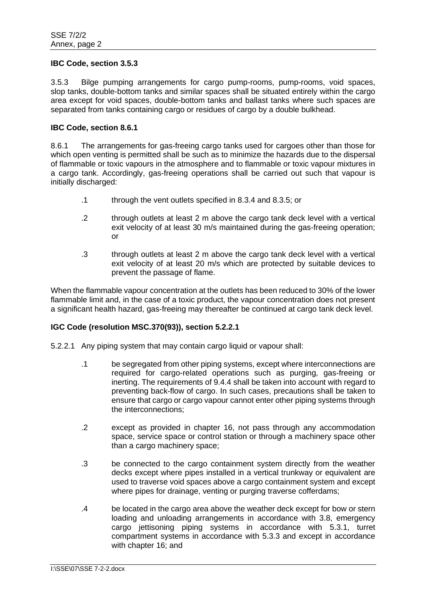#### **IBC Code, section 3.5.3**

3.5.3 Bilge pumping arrangements for cargo pump-rooms, pump-rooms, void spaces, slop tanks, double-bottom tanks and similar spaces shall be situated entirely within the cargo area except for void spaces, double-bottom tanks and ballast tanks where such spaces are separated from tanks containing cargo or residues of cargo by a double bulkhead.

#### **IBC Code, section 8.6.1**

8.6.1 The arrangements for gas-freeing cargo tanks used for cargoes other than those for which open venting is permitted shall be such as to minimize the hazards due to the dispersal of flammable or toxic vapours in the atmosphere and to flammable or toxic vapour mixtures in a cargo tank. Accordingly, gas-freeing operations shall be carried out such that vapour is initially discharged:

- .1 through the vent outlets specified in 8.3.4 and 8.3.5; or
- .2 through outlets at least 2 m above the cargo tank deck level with a vertical exit velocity of at least 30 m/s maintained during the gas-freeing operation; or
- .3 through outlets at least 2 m above the cargo tank deck level with a vertical exit velocity of at least 20 m/s which are protected by suitable devices to prevent the passage of flame.

When the flammable vapour concentration at the outlets has been reduced to 30% of the lower flammable limit and, in the case of a toxic product, the vapour concentration does not present a significant health hazard, gas-freeing may thereafter be continued at cargo tank deck level.

## **IGC Code (resolution MSC.370(93)), section 5.2.2.1**

- 5.2.2.1 Any piping system that may contain cargo liquid or vapour shall:
	- .1 be segregated from other piping systems, except where interconnections are required for cargo-related operations such as purging, gas-freeing or inerting. The requirements of 9.4.4 shall be taken into account with regard to preventing back-flow of cargo. In such cases, precautions shall be taken to ensure that cargo or cargo vapour cannot enter other piping systems through the interconnections;
	- .2 except as provided in chapter 16, not pass through any accommodation space, service space or control station or through a machinery space other than a cargo machinery space;
	- .3 be connected to the cargo containment system directly from the weather decks except where pipes installed in a vertical trunkway or equivalent are used to traverse void spaces above a cargo containment system and except where pipes for drainage, venting or purging traverse cofferdams;
	- .4 be located in the cargo area above the weather deck except for bow or stern loading and unloading arrangements in accordance with 3.8, emergency cargo jettisoning piping systems in accordance with 5.3.1, turret compartment systems in accordance with 5.3.3 and except in accordance with chapter 16; and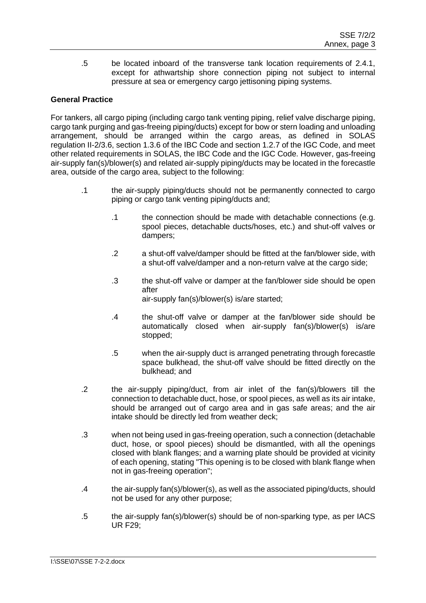.5 be located inboard of the transverse tank location requirements of 2.4.1, except for athwartship shore connection piping not subject to internal pressure at sea or emergency cargo jettisoning piping systems.

# **General Practice**

For tankers, all cargo piping (including cargo tank venting piping, relief valve discharge piping, cargo tank purging and gas-freeing piping/ducts) except for bow or stern loading and unloading arrangement, should be arranged within the cargo areas, as defined in SOLAS regulation II-2/3.6, section 1.3.6 of the IBC Code and section 1.2.7 of the IGC Code, and meet other related requirements in SOLAS, the IBC Code and the IGC Code. However, gas-freeing air-supply fan(s)/blower(s) and related air-supply piping/ducts may be located in the forecastle area, outside of the cargo area, subject to the following:

- .1 the air-supply piping/ducts should not be permanently connected to cargo piping or cargo tank venting piping/ducts and;
	- .1 the connection should be made with detachable connections (e.g. spool pieces, detachable ducts/hoses, etc.) and shut-off valves or dampers;
	- .2 a shut-off valve/damper should be fitted at the fan/blower side, with a shut-off valve/damper and a non-return valve at the cargo side;
	- .3 the shut-off valve or damper at the fan/blower side should be open after air-supply fan(s)/blower(s) is/are started;
	- .4 the shut-off valve or damper at the fan/blower side should be automatically closed when air-supply fan(s)/blower(s) is/are stopped;
	- .5 when the air-supply duct is arranged penetrating through forecastle space bulkhead, the shut-off valve should be fitted directly on the bulkhead; and
- .2 the air-supply piping/duct, from air inlet of the fan(s)/blowers till the connection to detachable duct, hose, or spool pieces, as well as its air intake, should be arranged out of cargo area and in gas safe areas; and the air intake should be directly led from weather deck;
- .3 when not being used in gas-freeing operation, such a connection (detachable duct, hose, or spool pieces) should be dismantled, with all the openings closed with blank flanges; and a warning plate should be provided at vicinity of each opening, stating "This opening is to be closed with blank flange when not in gas-freeing operation";
- .4 the air-supply fan(s)/blower(s), as well as the associated piping/ducts, should not be used for any other purpose;
- .5 the air-supply fan(s)/blower(s) should be of non-sparking type, as per IACS UR F29;